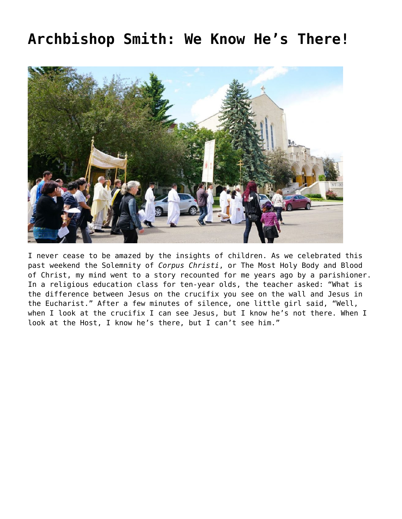## **[Archbishop Smith: We Know He's There!](https://grandinmedia.ca/we-know-hes-there/)**



I never cease to be amazed by the insights of children. As we celebrated this past weekend the Solemnity of *Corpus Christi*, or The Most Holy Body and Blood of Christ, my mind went to a story recounted for me years ago by a parishioner. In a religious education class for ten-year olds, the teacher asked: "What is the difference between Jesus on the crucifix you see on the wall and Jesus in the Eucharist." After a few minutes of silence, one little girl said, "Well, when I look at the crucifix I can see Jesus, but I know he's not there. When I look at the Host, I know he's there, but I can't see him."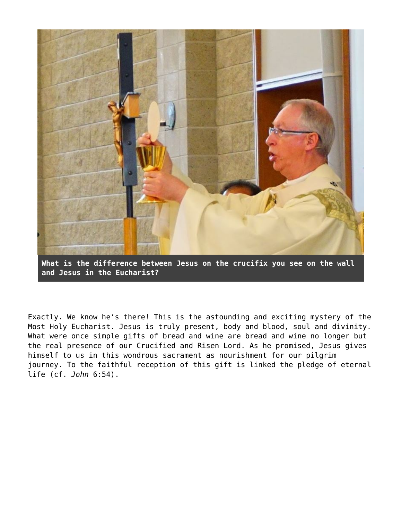

**What is the difference between Jesus on the crucifix you see on the wall and Jesus in the Eucharist?**

Exactly. We know he's there! This is the astounding and exciting mystery of the Most Holy Eucharist. Jesus is truly present, body and blood, soul and divinity. What were once simple gifts of bread and wine are bread and wine no longer but the real presence of our Crucified and Risen Lord. As he promised, Jesus gives himself to us in this wondrous sacrament as nourishment for our pilgrim journey. To the faithful reception of this gift is linked the pledge of eternal life (cf. *John* 6:54).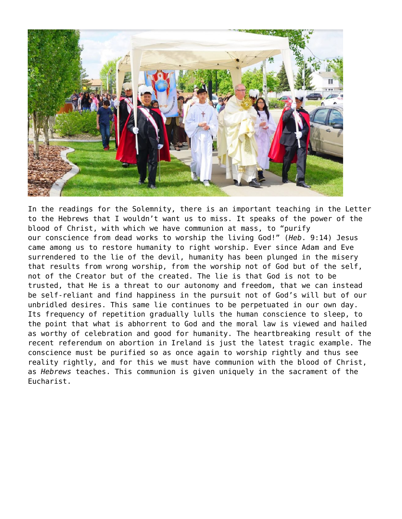

In the readings for the Solemnity, there is an important teaching in the Letter to the Hebrews that I wouldn't want us to miss. It speaks of the power of the blood of Christ, with which we have communion at mass, to "purify our conscience from dead works to worship the living God!" (*Heb*. 9:14) Jesus came among us to restore humanity to right worship. Ever since Adam and Eve surrendered to the lie of the devil, humanity has been plunged in the misery that results from wrong worship, from the worship not of God but of the self, not of the Creator but of the created. The lie is that God is not to be trusted, that He is a threat to our autonomy and freedom, that we can instead be self-reliant and find happiness in the pursuit not of God's will but of our unbridled desires. This same lie continues to be perpetuated in our own day. Its frequency of repetition gradually lulls the human conscience to sleep, to the point that what is abhorrent to God and the moral law is viewed and hailed as worthy of celebration and good for humanity. The heartbreaking result of the recent referendum on abortion in Ireland is just the latest tragic example. The conscience must be purified so as once again to worship rightly and thus see reality rightly, and for this we must have communion with the blood of Christ, as *Hebrews* teaches. This communion is given uniquely in the sacrament of the Eucharist.